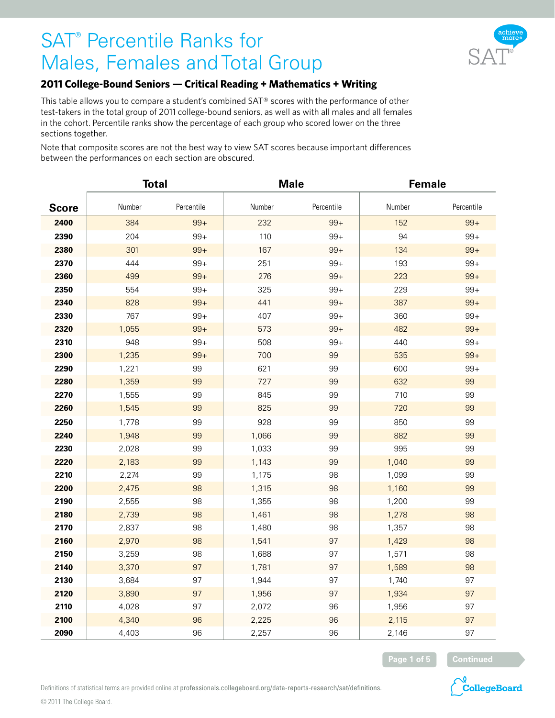

#### **2011 College-Bound Seniors — Critical Reading + Mathematics + Writing**

This table allows you to compare a student's combined SAT® scores with the performance of other test-takers in the total group of 2011 college-bound seniors, as well as with all males and all females in the cohort. Percentile ranks show the percentage of each group who scored lower on the three sections together.

Note that composite scores are not the best way to view SAT scores because important differences between the performances on each section are obscured.

|              | <b>Total</b> |            | <b>Male</b> |            | Female |            |
|--------------|--------------|------------|-------------|------------|--------|------------|
| <b>Score</b> | Number       | Percentile | Number      | Percentile | Number | Percentile |
| 2400         | 384          | $99+$      | 232         | $99+$      | 152    | $99+$      |
| 2390         | 204          | $99+$      | 110         | $99+$      | 94     | $99+$      |
| 2380         | 301          | $99+$      | 167         | $99+$      | 134    | $99+$      |
| 2370         | 444          | $99+$      | 251         | $99+$      | 193    | $99+$      |
| 2360         | 499          | $99+$      | 276         | $99+$      | 223    | $99+$      |
| 2350         | 554          | $99+$      | 325         | $99+$      | 229    | $99+$      |
| 2340         | 828          | $99+$      | 441         | $99+$      | 387    | $99+$      |
| 2330         | 767          | $99+$      | 407         | $99+$      | 360    | $99+$      |
| 2320         | 1,055        | $99+$      | 573         | $99+$      | 482    | $99+$      |
| 2310         | 948          | $99+$      | 508         | $99+$      | 440    | $99+$      |
| 2300         | 1,235        | $99+$      | 700         | 99         | 535    | $99+$      |
| 2290         | 1,221        | 99         | 621         | 99         | 600    | $99+$      |
| 2280         | 1,359        | 99         | 727         | 99         | 632    | 99         |
| 2270         | 1,555        | 99         | 845         | 99         | 710    | 99         |
| 2260         | 1,545        | 99         | 825         | 99         | 720    | 99         |
| 2250         | 1,778        | 99         | 928         | 99         | 850    | 99         |
| 2240         | 1,948        | 99         | 1,066       | 99         | 882    | 99         |
| 2230         | 2,028        | 99         | 1,033       | 99         | 995    | 99         |
| 2220         | 2,183        | 99         | 1,143       | 99         | 1,040  | 99         |
| 2210         | 2,274        | 99         | 1,175       | 98         | 1,099  | 99         |
| 2200         | 2,475        | 98         | 1,315       | 98         | 1,160  | 99         |
| 2190         | 2,555        | 98         | 1,355       | 98         | 1,200  | 99         |
| 2180         | 2,739        | 98         | 1,461       | 98         | 1,278  | 98         |
| 2170         | 2,837        | 98         | 1,480       | 98         | 1,357  | 98         |
| 2160         | 2,970        | 98         | 1,541       | 97         | 1,429  | 98         |
| 2150         | 3,259        | 98         | 1,688       | 97         | 1,571  | 98         |
| 2140         | 3,370        | 97         | 1,781       | 97         | 1,589  | 98         |
| 2130         | 3,684        | 97         | 1,944       | 97         | 1,740  | 97         |
| 2120         | 3,890        | 97         | 1,956       | 97         | 1,934  | 97         |
| 2110         | 4,028        | 97         | 2,072       | 96         | 1,956  | 97         |
| 2100         | 4,340        | 96         | 2,225       | 96         | 2,115  | 97         |
| 2090         | 4,403        | 96         | 2,257       | 96         | 2,146  | 97         |

**Page 1 of 5 Continued**



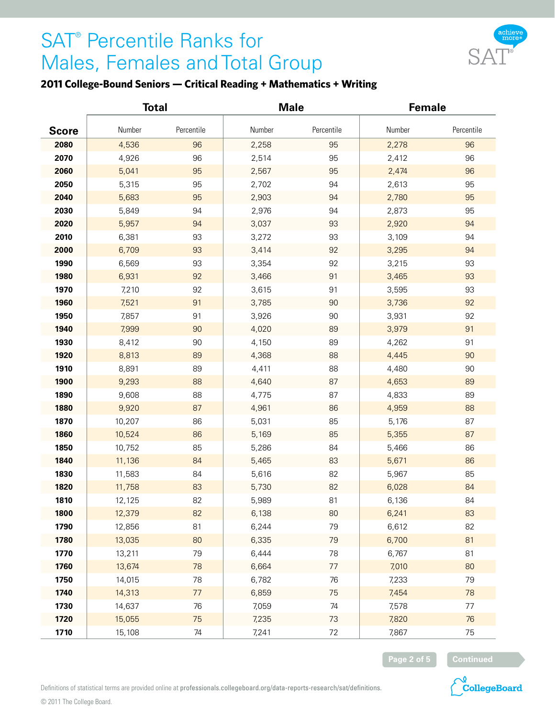

### **2011 College-Bound Seniors — Critical Reading + Mathematics + Writing**

|              | <b>Total</b> |            | <b>Male</b> |            | <b>Female</b> |            |
|--------------|--------------|------------|-------------|------------|---------------|------------|
| <b>Score</b> | Number       | Percentile | Number      | Percentile | Number        | Percentile |
| 2080         | 4,536        | 96         | 2,258       | 95         | 2,278         | 96         |
| 2070         | 4,926        | 96         | 2,514       | 95         | 2,412         | 96         |
| 2060         | 5,041        | 95         | 2,567       | 95         | 2,474         | 96         |
| 2050         | 5,315        | 95         | 2,702       | 94         | 2,613         | 95         |
| 2040         | 5,683        | 95         | 2,903       | 94         | 2,780         | 95         |
| 2030         | 5,849        | 94         | 2,976       | 94         | 2,873         | 95         |
| 2020         | 5,957        | 94         | 3,037       | 93         | 2,920         | 94         |
| 2010         | 6,381        | 93         | 3,272       | 93         | 3,109         | 94         |
| 2000         | 6,709        | 93         | 3,414       | 92         | 3,295         | 94         |
| 1990         | 6,569        | 93         | 3,354       | 92         | 3,215         | 93         |
| 1980         | 6,931        | 92         | 3,466       | 91         | 3,465         | 93         |
| 1970         | 7,210        | 92         | 3,615       | 91         | 3,595         | 93         |
| 1960         | 7,521        | 91         | 3,785       | 90         | 3,736         | 92         |
| 1950         | 7,857        | 91         | 3,926       | $90\,$     | 3,931         | 92         |
| 1940         | 7,999        | 90         | 4,020       | 89         | 3,979         | 91         |
| 1930         | 8,412        | $90\,$     | 4,150       | 89         | 4,262         | 91         |
| 1920         | 8,813        | 89         | 4,368       | 88         | 4,445         | 90         |
| 1910         | 8,891        | 89         | 4,411       | 88         | 4,480         | 90         |
| 1900         | 9,293        | 88         | 4,640       | 87         | 4,653         | 89         |
| 1890         | 9,608        | 88         | 4,775       | 87         | 4,833         | 89         |
| 1880         | 9,920        | 87         | 4,961       | 86         | 4,959         | 88         |
| 1870         | 10,207       | 86         | 5,031       | 85         | 5,176         | 87         |
| 1860         | 10,524       | 86         | 5,169       | 85         | 5,355         | 87         |
| 1850         | 10,752       | 85         | 5,286       | 84         | 5,466         | 86         |
| 1840         | 11,136       | 84         | 5,465       | 83         | 5,671         | 86         |
| 1830         | 11,583       | 84         | 5,616       | 82         | 5,967         | 85         |
| 1820         | 11,758       | 83         | 5,730       | 82         | 6,028         | 84         |
| 1810         | 12,125       | 82         | 5,989       | 81         | 6,136         | 84         |
| 1800         | 12,379       | 82         | 6,138       | 80         | 6,241         | 83         |
| 1790         | 12,856       | 81         | 6,244       | 79         | 6,612         | 82         |
| 1780         | 13,035       | 80         | 6,335       | 79         | 6,700         | 81         |
| 1770         | 13,211       | 79         | 6,444       | 78         | 6,767         | 81         |
| 1760         | 13,674       | 78         | 6,664       | $77 \,$    | 7,010         | 80         |
| 1750         | 14,015       | 78         | 6,782       | 76         | 7,233         | 79         |
| 1740         | 14,313       | $77\,$     | 6,859       | 75         | 7,454         | 78         |
| 1730         | 14,637       | 76         | 7,059       | 74         | 7,578         | 77         |
| 1720         | 15,055       | 75         | 7,235       | 73         | 7,820         | 76         |
| 1710         | 15,108       | $74\,$     | 7,241       | $72\,$     | 7,867         | 75         |



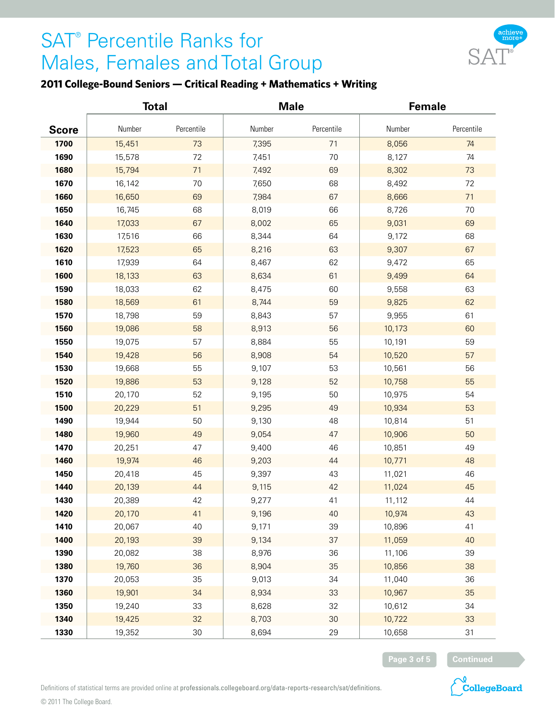

### **2011 College-Bound Seniors — Critical Reading + Mathematics + Writing**

|              | <b>Total</b> |            | <b>Male</b> |            | <b>Female</b> |            |
|--------------|--------------|------------|-------------|------------|---------------|------------|
| <b>Score</b> | Number       | Percentile | Number      | Percentile | Number        | Percentile |
| 1700         | 15,451       | 73         | 7,395       | 71         | 8,056         | 74         |
| 1690         | 15,578       | 72         | 7,451       | 70         | 8,127         | 74         |
| 1680         | 15,794       | 71         | 7,492       | 69         | 8,302         | 73         |
| 1670         | 16,142       | 70         | 7,650       | 68         | 8,492         | 72         |
| 1660         | 16,650       | 69         | 7,984       | 67         | 8,666         | 71         |
| 1650         | 16,745       | 68         | 8,019       | 66         | 8,726         | 70         |
| 1640         | 17,033       | 67         | 8,002       | 65         | 9,031         | 69         |
| 1630         | 17,516       | 66         | 8,344       | 64         | 9,172         | 68         |
| 1620         | 17,523       | 65         | 8,216       | 63         | 9,307         | 67         |
| 1610         | 17,939       | 64         | 8,467       | 62         | 9,472         | 65         |
| 1600         | 18,133       | 63         | 8,634       | 61         | 9,499         | 64         |
| 1590         | 18,033       | 62         | 8,475       | 60         | 9,558         | 63         |
| 1580         | 18,569       | 61         | 8,744       | 59         | 9,825         | 62         |
| 1570         | 18,798       | 59         | 8,843       | 57         | 9,955         | 61         |
| 1560         | 19,086       | 58         | 8,913       | 56         | 10,173        | 60         |
| 1550         | 19,075       | 57         | 8,884       | 55         | 10,191        | 59         |
| 1540         | 19,428       | 56         | 8,908       | 54         | 10,520        | 57         |
| 1530         | 19,668       | 55         | 9,107       | 53         | 10,561        | 56         |
| 1520         | 19,886       | 53         | 9,128       | 52         | 10,758        | 55         |
| 1510         | 20,170       | 52         | 9,195       | 50         | 10,975        | 54         |
| 1500         | 20,229       | 51         | 9,295       | 49         | 10,934        | 53         |
| 1490         | 19,944       | 50         | 9,130       | 48         | 10,814        | 51         |
| 1480         | 19,960       | 49         | 9,054       | 47         | 10,906        | 50         |
| 1470         | 20,251       | 47         | 9,400       | 46         | 10,851        | 49         |
| 1460         | 19,974       | 46         | 9,203       | 44         | 10,771        | 48         |
| 1450         | 20,418       | 45         | 9,397       | 43         | 11,021        | 46         |
| 1440         | 20,139       | 44         | 9,115       | 42         | 11,024        | 45         |
| 1430         | 20,389       | 42         | 9,277       | $41$       | 11,112        | 44         |
| 1420         | 20,170       | 41         | 9,196       | 40         | 10,974        | 43         |
| 1410         | 20,067       | 40         | 9,171       | 39         | 10,896        | 41         |
| 1400         | 20,193       | 39         | 9,134       | 37         | 11,059        | 40         |
| 1390         | 20,082       | 38         | 8,976       | 36         | 11,106        | 39         |
| 1380         | 19,760       | 36         | 8,904       | 35         | 10,856        | 38         |
| 1370         | 20,053       | 35         | 9,013       | 34         | 11,040        | 36         |
| 1360         | 19,901       | 34         | 8,934       | 33         | 10,967        | 35         |
| 1350         | 19,240       | 33         | 8,628       | 32         | 10,612        | 34         |
| 1340         | 19,425       | 32         | 8,703       | $30\,$     | 10,722        | 33         |
| 1330         | 19,352       | $30\,$     | 8,694       | 29         | 10,658        | 31         |



**CollegeBoard**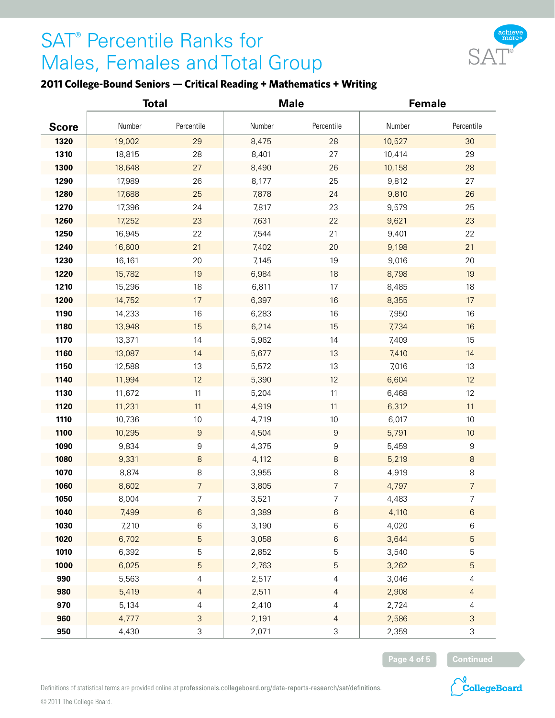

### **2011 College-Bound Seniors — Critical Reading + Mathematics + Writing**

|              | <b>Total</b> |                           | <b>Male</b> |                  | <b>Female</b> |                  |
|--------------|--------------|---------------------------|-------------|------------------|---------------|------------------|
| <b>Score</b> | Number       | Percentile                | Number      | Percentile       | Number        | Percentile       |
| 1320         | 19,002       | 29                        | 8,475       | 28               | 10,527        | 30               |
| 1310         | 18,815       | 28                        | 8,401       | 27               | 10,414        | 29               |
| 1300         | 18,648       | 27                        | 8,490       | 26               | 10,158        | 28               |
| 1290         | 17,989       | 26                        | 8,177       | 25               | 9,812         | 27               |
| 1280         | 17,688       | 25                        | 7,878       | 24               | 9,810         | 26               |
| 1270         | 17,396       | 24                        | 7,817       | 23               | 9,579         | 25               |
| 1260         | 17,252       | 23                        | 7,631       | 22               | 9,621         | 23               |
| 1250         | 16,945       | 22                        | 7,544       | 21               | 9,401         | 22               |
| 1240         | 16,600       | 21                        | 7,402       | 20               | 9,198         | 21               |
| 1230         | 16,161       | 20                        | 7,145       | 19               | 9,016         | 20               |
| 1220         | 15,782       | 19                        | 6,984       | 18               | 8,798         | 19               |
| 1210         | 15,296       | $18\,$                    | 6,811       | 17               | 8,485         | 18               |
| 1200         | 14,752       | 17                        | 6,397       | 16               | 8,355         | 17               |
| 1190         | 14,233       | $16\,$                    | 6,283       | 16               | 7,950         | $16\,$           |
| 1180         | 13,948       | 15                        | 6,214       | 15               | 7,734         | 16               |
| 1170         | 13,371       | 14                        | 5,962       | 14               | 7,409         | 15               |
| 1160         | 13,087       | 14                        | 5,677       | 13               | 7,410         | 14               |
| 1150         | 12,588       | 13                        | 5,572       | 13               | 7,016         | 13               |
| 1140         | 11,994       | 12                        | 5,390       | 12               | 6,604         | 12               |
| 1130         | 11,672       | 11                        | 5,204       | 11               | 6,468         | 12               |
| 1120         | 11,231       | $11$                      | 4,919       | 11               | 6,312         | 11               |
| 1110         | 10,736       | $10$                      | 4,719       | 10               | 6,017         | $10$             |
| 1100         | 10,295       | $\boldsymbol{9}$          | 4,504       | $\boldsymbol{9}$ | 5,791         | 10               |
| 1090         | 9,834        | $\boldsymbol{9}$          | 4,375       | 9                | 5,459         | $\boldsymbol{9}$ |
| 1080         | 9,331        | $\,8\,$                   | 4,112       | $\,8\,$          | 5,219         | $\,8\,$          |
| 1070         | 8,874        | $\,8\,$                   | 3,955       | $\,8\,$          | 4,919         | $\,8\,$          |
| 1060         | 8,602        | $\overline{7}$            | 3,805       | $\overline{7}$   | 4,797         | $\overline{7}$   |
| 1050         | 8,004        | $\overline{7}$            | 3,521       | 7                | 4,483         | $\overline{7}$   |
| 1040         | 7,499        | $\,6\,$                   | 3,389       | $\,6$            | 4,110         | $\,6\,$          |
| 1030         | 7,210        | $\,6$                     | 3,190       | 6                | 4,020         | $\,6$            |
| 1020         | 6,702        | $\sqrt{5}$                | 3,058       | $\,6$            | 3,644         | $\sqrt{5}$       |
| 1010         | 6,392        | $\mathbf 5$               | 2,852       | 5                | 3,540         | 5                |
| 1000         | 6,025        | $\sqrt{5}$                | 2,763       | $\mathbf 5$      | 3,262         | $\sqrt{5}$       |
| 990          | 5,563        | $\overline{4}$            | 2,517       | 4                | 3,046         | $\overline{4}$   |
| 980          | 5,419        | $\overline{4}$            | 2,511       | $\overline{a}$   | 2,908         | $\overline{4}$   |
| 970          | 5,134        | $\overline{4}$            | 2,410       | 4                | 2,724         | $\overline{4}$   |
| 960          | 4,777        | $\ensuremath{\mathsf{3}}$ | 2,191       | 4                | 2,586         | $\mathsf{3}$     |
| 950          | 4,430        | $\ensuremath{\mathsf{3}}$ | 2,071       | 3                | 2,359         | 3                |